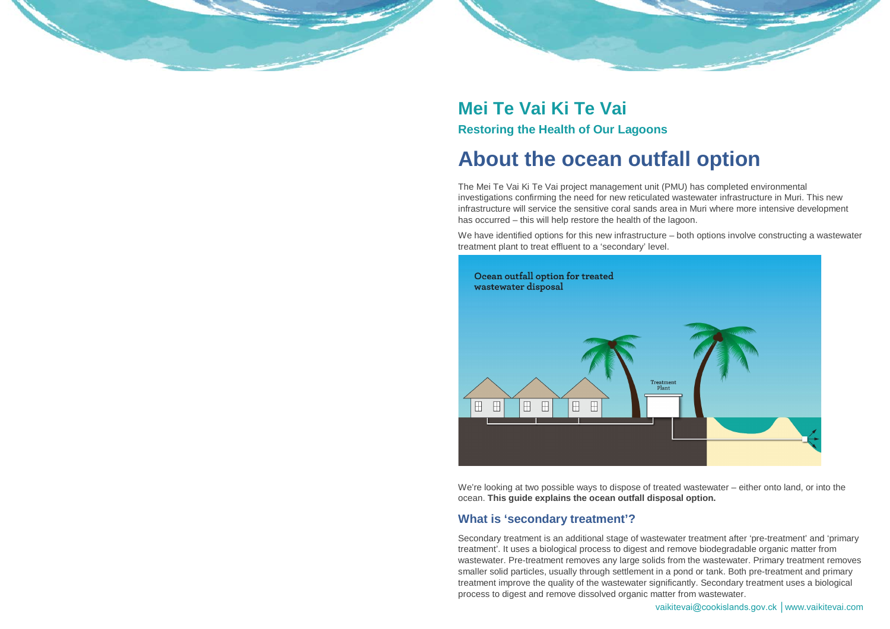vaikitevai@cookislands.gov.ck │www.vaikitevai.com

# **Mei Te Vai Ki Te Vai Restoring the Health of Our Lagoons**

# **About the ocean outfall option**

The Mei Te Vai Ki Te Vai project management unit (PMU) has completed environmental investigations confirming the need for new reticulated wastewater infrastructure in Muri. This new infrastructure will service the sensitive coral sands area in Muri where more intensive development has occurred – this will help restore the health of the lagoon.

We have identified options for this new infrastructure – both options involve constructing a wastewater treatment plant to treat effluent to a 'secondary' level.



We're looking at two possible ways to dispose of treated wastewater – either onto land, or into the ocean. **This guide explains the ocean outfall disposal option.**

## **What is 'secondary treatment'?**

Secondary treatment is an additional stage of wastewater treatment after 'pre-treatment' and 'primary treatment'. It uses a biological process to digest and remove biodegradable organic matter from wastewater. Pre-treatment removes any large solids from the wastewater. Primary treatment removes smaller solid particles, usually through settlement in a pond or tank. Both pre-treatment and primary treatment improve the quality of the wastewater significantly. Secondary treatment uses a biological process to digest and remove dissolved organic matter from wastewater.